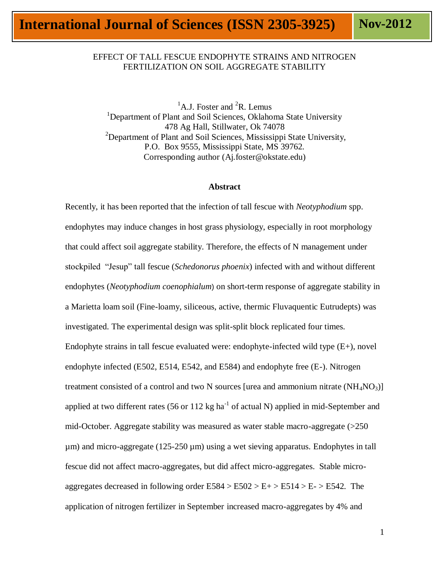# EFFECT OF TALL FESCUE ENDOPHYTE STRAINS AND NITROGEN FERTILIZATION ON SOIL AGGREGATE STABILITY

<sup>1</sup>A.J. Foster and <sup>2</sup>R. Lemus <sup>1</sup>Department of Plant and Soil Sciences, Oklahoma State University 478 Ag Hall, Stillwater, Ok 74078 <sup>2</sup>Department of Plant and Soil Sciences, Mississippi State University, P.O. Box 9555, Mississippi State, MS 39762. Corresponding author (Aj.foster@okstate.edu)

#### **Abstract**

Recently, it has been reported that the infection of tall fescue with *Neotyphodium* spp. endophytes may induce changes in host grass physiology, especially in root morphology that could affect soil aggregate stability. Therefore, the effects of N management under stockpiled "Jesup" tall fescue (*Schedonorus phoenix*) infected with and without different endophytes (*Neotyphodium coenophialum*) on short-term response of aggregate stability in a Marietta loam soil (Fine-loamy, siliceous, active, thermic Fluvaquentic Eutrudepts) was investigated. The experimental design was split-split block replicated four times. Endophyte strains in tall fescue evaluated were: endophyte-infected wild type  $(E+)$ , novel endophyte infected (E502, E514, E542, and E584) and endophyte free (E-). Nitrogen treatment consisted of a control and two N sources [urea and ammonium nitrate  $(NH_4NO_3)$ ] applied at two different rates (56 or 112 kg ha<sup>-1</sup> of actual N) applied in mid-September and mid-October. Aggregate stability was measured as water stable macro-aggregate (>250 µm) and micro-aggregate (125-250 µm) using a wet sieving apparatus. Endophytes in tall fescue did not affect macro-aggregates, but did affect micro-aggregates. Stable microaggregates decreased in following order  $E584 > E502 > E + > E514 > E - > E542$ . The application of nitrogen fertilizer in September increased macro-aggregates by 4% and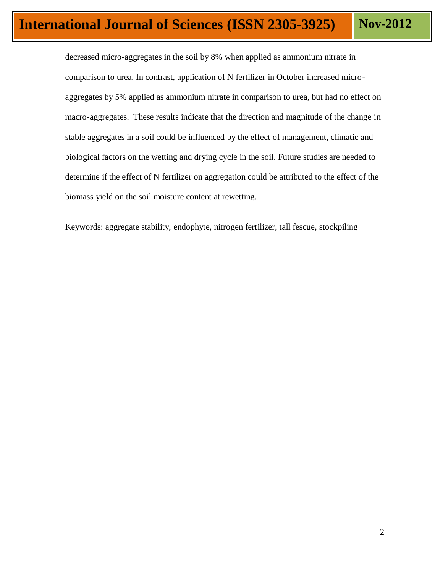decreased micro-aggregates in the soil by 8% when applied as ammonium nitrate in comparison to urea. In contrast, application of N fertilizer in October increased microaggregates by 5% applied as ammonium nitrate in comparison to urea, but had no effect on macro-aggregates. These results indicate that the direction and magnitude of the change in stable aggregates in a soil could be influenced by the effect of management, climatic and biological factors on the wetting and drying cycle in the soil. Future studies are needed to determine if the effect of N fertilizer on aggregation could be attributed to the effect of the biomass yield on the soil moisture content at rewetting.

Keywords: aggregate stability, endophyte, nitrogen fertilizer, tall fescue, stockpiling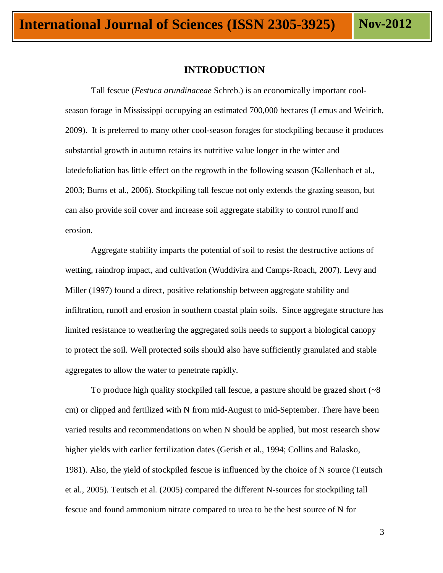### **INTRODUCTION**

Tall fescue (*Festuca arundinaceae* Schreb.) is an economically important coolseason forage in Mississippi occupying an estimated 700,000 hectares (Lemus and Weirich, 2009). It is preferred to many other cool-season forages for stockpiling because it produces substantial growth in autumn retains its nutritive value longer in the winter and latedefoliation has little effect on the regrowth in the following season (Kallenbach et al., 2003; Burns et al., 2006). Stockpiling tall fescue not only extends the grazing season, but can also provide soil cover and increase soil aggregate stability to control runoff and erosion.

Aggregate stability imparts the potential of soil to resist the destructive actions of wetting, raindrop impact, and cultivation (Wuddivira and Camps-Roach, 2007). Levy and Miller (1997) found a direct, positive relationship between aggregate stability and infiltration, runoff and erosion in southern coastal plain soils. Since aggregate structure has limited resistance to weathering the aggregated soils needs to support a biological canopy to protect the soil. Well protected soils should also have sufficiently granulated and stable aggregates to allow the water to penetrate rapidly.

To produce high quality stockpiled tall fescue, a pasture should be grazed short  $(~8)$ cm) or clipped and fertilized with N from mid-August to mid-September. There have been varied results and recommendations on when N should be applied, but most research show higher yields with earlier fertilization dates (Gerish et al., 1994; Collins and Balasko, 1981). Also, the yield of stockpiled fescue is influenced by the choice of N source (Teutsch et al., 2005). Teutsch et al. (2005) compared the different N-sources for stockpiling tall fescue and found ammonium nitrate compared to urea to be the best source of N for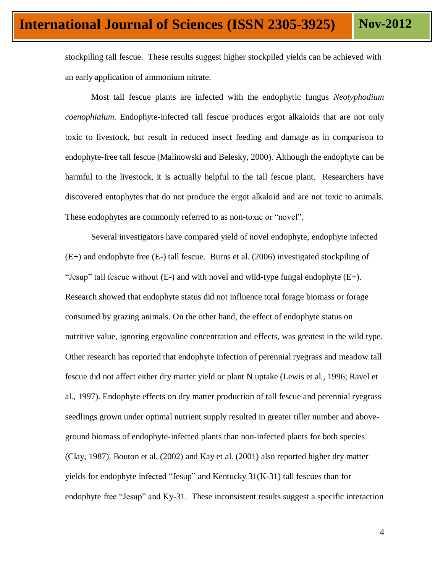stockpiling tall fescue. These results suggest higher stockpiled yields can be achieved with an early application of ammonium nitrate.

 Most tall fescue plants are infected with the endophytic fungus *Neotyphodium coenophialum*. Endophyte-infected tall fescue produces ergot alkaloids that are not only toxic to livestock, but result in reduced insect feeding and damage as in comparison to endophyte-free tall fescue (Malinowski and Belesky, 2000). Although the endophyte can be harmful to the livestock, it is actually helpful to the tall fescue plant. Researchers have discovered entophytes that do not produce the ergot alkaloid and are not toxic to animals. These endophytes are commonly referred to as non-toxic or "novel".

Several investigators have compared yield of novel endophyte, endophyte infected (E+) and endophyte free (E-) tall fescue. Burns et al. (2006) investigated stockpiling of "Jesup" tall fescue without  $(E-)$  and with novel and wild-type fungal endophyte  $(E+)$ . Research showed that endophyte status did not influence total forage biomass or forage consumed by grazing animals. On the other hand, the effect of endophyte status on nutritive value, ignoring ergovaline concentration and effects, was greatest in the wild type. Other research has reported that endophyte infection of perennial ryegrass and meadow tall fescue did not affect either dry matter yield or plant N uptake (Lewis et al., 1996; Ravel et al., 1997). Endophyte effects on dry matter production of tall fescue and perennial ryegrass seedlings grown under optimal nutrient supply resulted in greater tiller number and aboveground biomass of endophyte-infected plants than non-infected plants for both species (Clay, 1987). Bouton et al. (2002) and Kay et al. (2001) also reported higher dry matter yields for endophyte infected "Jesup" and Kentucky  $31(K-31)$  tall fescues than for endophyte free "Jesup" and Ky-31. These inconsistent results suggest a specific interaction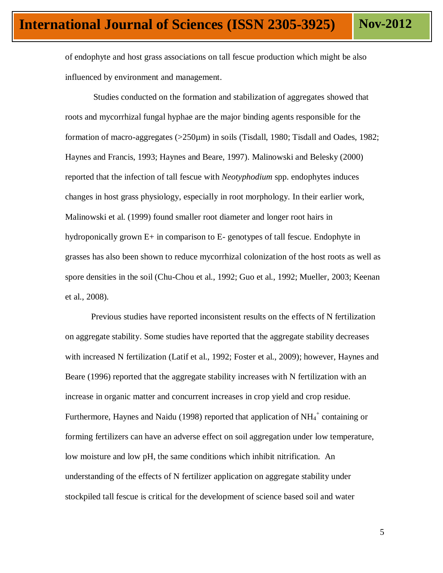of endophyte and host grass associations on tall fescue production which might be also influenced by environment and management.

Studies conducted on the formation and stabilization of aggregates showed that roots and mycorrhizal fungal hyphae are the major binding agents responsible for the formation of macro-aggregates (>250µm) in soils (Tisdall, 1980; Tisdall and Oades, 1982; Haynes and Francis, 1993; Haynes and Beare, 1997). Malinowski and Belesky (2000) reported that the infection of tall fescue with *Neotyphodium* spp. endophytes induces changes in host grass physiology, especially in root morphology. In their earlier work, Malinowski et al. (1999) found smaller root diameter and longer root hairs in hydroponically grown E+ in comparison to E- genotypes of tall fescue. Endophyte in grasses has also been shown to reduce mycorrhizal colonization of the host roots as well as spore densities in the soil (Chu-Chou et al., 1992; Guo et al., 1992; Mueller, 2003; Keenan et al., 2008).

Previous studies have reported inconsistent results on the effects of N fertilization on aggregate stability. Some studies have reported that the aggregate stability decreases with increased N fertilization (Latif et al., 1992; Foster et al., 2009); however, Haynes and Beare (1996) reported that the aggregate stability increases with N fertilization with an increase in organic matter and concurrent increases in crop yield and crop residue. Furthermore, Haynes and Naidu (1998) reported that application of  $NH_4^+$  containing or forming fertilizers can have an adverse effect on soil aggregation under low temperature, low moisture and low pH, the same conditions which inhibit nitrification. An understanding of the effects of N fertilizer application on aggregate stability under stockpiled tall fescue is critical for the development of science based soil and water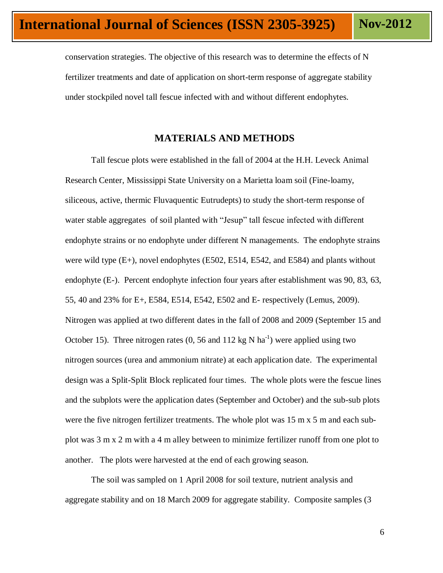conservation strategies. The objective of this research was to determine the effects of N fertilizer treatments and date of application on short-term response of aggregate stability under stockpiled novel tall fescue infected with and without different endophytes.

# **MATERIALS AND METHODS**

Tall fescue plots were established in the fall of 2004 at the H.H. Leveck Animal Research Center, Mississippi State University on a Marietta loam soil (Fine-loamy, siliceous, active, thermic Fluvaquentic Eutrudepts) to study the short-term response of water stable aggregates of soil planted with "Jesup" tall fescue infected with different endophyte strains or no endophyte under different N managements. The endophyte strains were wild type  $(E+)$ , novel endophytes  $(E502, E514, E542,$  and  $E584)$  and plants without endophyte (E-). Percent endophyte infection four years after establishment was 90, 83, 63, 55, 40 and 23% for E+, E584, E514, E542, E502 and E- respectively (Lemus, 2009). Nitrogen was applied at two different dates in the fall of 2008 and 2009 (September 15 and October 15). Three nitrogen rates (0, 56 and 112 kg N ha<sup>-1</sup>) were applied using two nitrogen sources (urea and ammonium nitrate) at each application date. The experimental design was a Split-Split Block replicated four times. The whole plots were the fescue lines and the subplots were the application dates (September and October) and the sub-sub plots were the five nitrogen fertilizer treatments. The whole plot was 15 m x 5 m and each subplot was 3 m x 2 m with a 4 m alley between to minimize fertilizer runoff from one plot to another. The plots were harvested at the end of each growing season.

The soil was sampled on 1 April 2008 for soil texture, nutrient analysis and aggregate stability and on 18 March 2009 for aggregate stability. Composite samples (3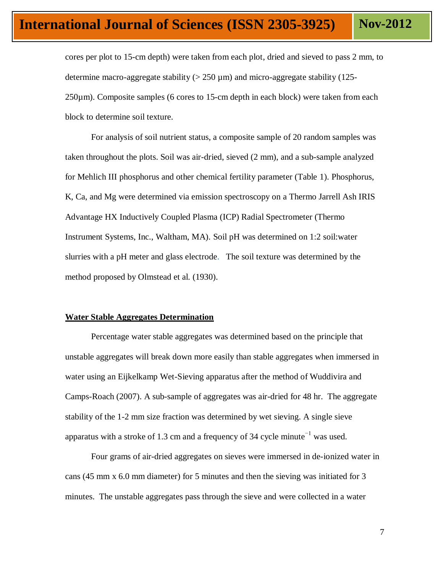cores per plot to 15-cm depth) were taken from each plot, dried and sieved to pass 2 mm, to determine macro-aggregate stability  $(> 250 \,\mu m)$  and micro-aggregate stability (125-250µm). Composite samples (6 cores to 15-cm depth in each block) were taken from each block to determine soil texture.

For analysis of soil nutrient status, a composite sample of 20 random samples was taken throughout the plots. Soil was air-dried, sieved (2 mm), and a sub-sample analyzed for Mehlich III phosphorus and other chemical fertility parameter (Table 1). Phosphorus, K, Ca, and Mg were determined via emission spectroscopy on a Thermo Jarrell Ash IRIS Advantage HX Inductively Coupled Plasma (ICP) Radial Spectrometer (Thermo Instrument Systems, Inc., Waltham, MA). Soil pH was determined on 1:2 soil:water slurries with a pH meter and glass electrode. The soil texture was determined by the method proposed by Olmstead et al. (1930).

#### **Water Stable Aggregates Determination**

Percentage water stable aggregates was determined based on the principle that unstable aggregates will break down more easily than stable aggregates when immersed in water using an Eijkelkamp Wet-Sieving apparatus after the method of Wuddivira and Camps-Roach (2007). A sub-sample of aggregates was air-dried for 48 hr. The aggregate stability of the 1-2 mm size fraction was determined by wet sieving. A single sieve apparatus with a stroke of 1.3 cm and a frequency of 34 cycle minute<sup>-1</sup> was used.

Four grams of air-dried aggregates on sieves were immersed in de-ionized water in cans (45 mm x 6.0 mm diameter) for 5 minutes and then the sieving was initiated for 3 minutes. The unstable aggregates pass through the sieve and were collected in a water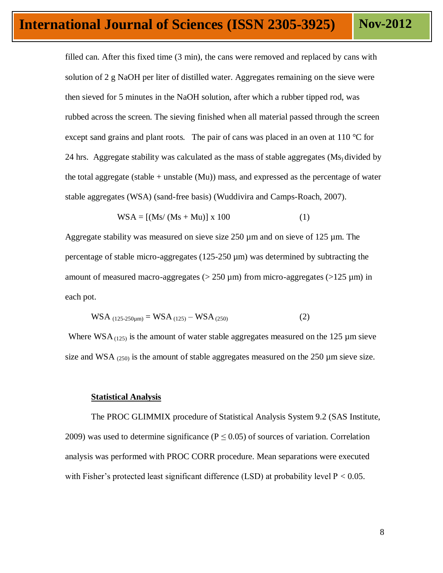filled can. After this fixed time (3 min), the cans were removed and replaced by cans with solution of 2 g NaOH per liter of distilled water. Aggregates remaining on the sieve were then sieved for 5 minutes in the NaOH solution, after which a rubber tipped rod, was rubbed across the screen. The sieving finished when all material passed through the screen except sand grains and plant roots. The pair of cans was placed in an oven at 110  $\degree$ C for 24 hrs. Aggregate stability was calculated as the mass of stable aggregates (Ms) divided by the total aggregate (stable  $+$  unstable (Mu)) mass, and expressed as the percentage of water stable aggregates (WSA) (sand-free basis) (Wuddivira and Camps-Roach, 2007).

$$
WSA = [(Ms/(Ms+Mu)] x 100 \t(1)
$$

Aggregate stability was measured on sieve size 250 µm and on sieve of 125 µm. The percentage of stable micro-aggregates (125-250 µm) was determined by subtracting the amount of measured macro-aggregates ( $> 250 \,\mu m$ ) from micro-aggregates ( $> 125 \,\mu m$ ) in each pot.

$$
WSA_{(125-250\mu m)} = WSA_{(125)} - WSA_{(250)}
$$
 (2)

Where WSA $_{(125)}$  is the amount of water stable aggregates measured on the 125  $\mu$ m sieve size and WSA  $_{(250)}$  is the amount of stable aggregates measured on the 250  $\mu$ m sieve size.

#### **Statistical Analysis**

The PROC GLIMMIX procedure of Statistical Analysis System 9.2 (SAS Institute, 2009) was used to determine significance ( $P \le 0.05$ ) of sources of variation. Correlation analysis was performed with PROC CORR procedure. Mean separations were executed with Fisher's protected least significant difference (LSD) at probability level  $P < 0.05$ .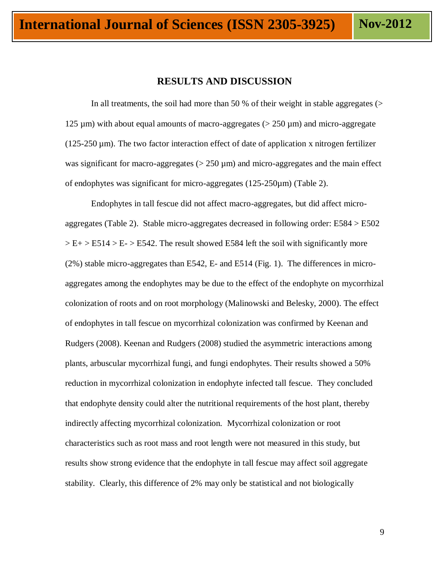## **RESULTS AND DISCUSSION**

In all treatments, the soil had more than 50 % of their weight in stable aggregates  $($ 125  $\mu$ m) with about equal amounts of macro-aggregates ( $>$  250  $\mu$ m) and micro-aggregate  $(125-250 \,\mu m)$ . The two factor interaction effect of date of application x nitrogen fertilizer was significant for macro-aggregates  $(> 250 \mu m)$  and micro-aggregates and the main effect of endophytes was significant for micro-aggregates (125-250µm) (Table 2).

Endophytes in tall fescue did not affect macro-aggregates, but did affect microaggregates (Table 2). Stable micro-aggregates decreased in following order: E584 > E502  $>E+ E514 > E- E542$ . The result showed E584 left the soil with significantly more (2%) stable micro-aggregates than E542, E- and E514 (Fig. 1). The differences in microaggregates among the endophytes may be due to the effect of the endophyte on mycorrhizal colonization of roots and on root morphology (Malinowski and Belesky, 2000). The effect of endophytes in tall fescue on mycorrhizal colonization was confirmed by Keenan and Rudgers (2008). Keenan and Rudgers (2008) studied the asymmetric interactions among plants, arbuscular mycorrhizal fungi, and fungi endophytes. Their results showed a 50% reduction in mycorrhizal colonization in endophyte infected tall fescue. They concluded that endophyte density could alter the nutritional requirements of the host plant, thereby indirectly affecting mycorrhizal colonization. Mycorrhizal colonization or root characteristics such as root mass and root length were not measured in this study, but results show strong evidence that the endophyte in tall fescue may affect soil aggregate stability. Clearly, this difference of 2% may only be statistical and not biologically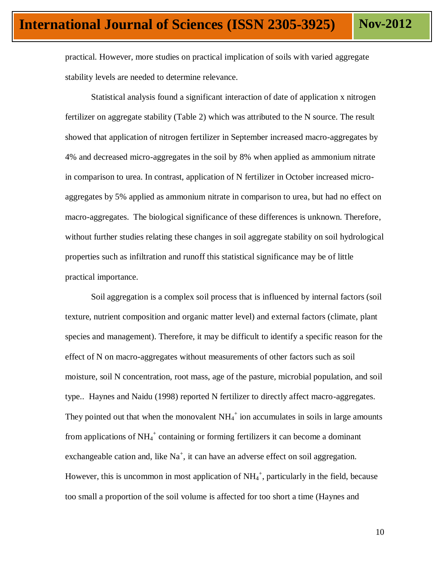practical. However, more studies on practical implication of soils with varied aggregate stability levels are needed to determine relevance.

Statistical analysis found a significant interaction of date of application x nitrogen fertilizer on aggregate stability (Table 2) which was attributed to the N source. The result showed that application of nitrogen fertilizer in September increased macro-aggregates by 4% and decreased micro-aggregates in the soil by 8% when applied as ammonium nitrate in comparison to urea. In contrast, application of N fertilizer in October increased microaggregates by 5% applied as ammonium nitrate in comparison to urea, but had no effect on macro-aggregates. The biological significance of these differences is unknown. Therefore, without further studies relating these changes in soil aggregate stability on soil hydrological properties such as infiltration and runoff this statistical significance may be of little practical importance.

Soil aggregation is a complex soil process that is influenced by internal factors (soil texture, nutrient composition and organic matter level) and external factors (climate, plant species and management). Therefore, it may be difficult to identify a specific reason for the effect of N on macro-aggregates without measurements of other factors such as soil moisture, soil N concentration, root mass, age of the pasture, microbial population, and soil type.. Haynes and Naidu (1998) reported N fertilizer to directly affect macro-aggregates. They pointed out that when the monovalent  $NH_4^+$  ion accumulates in soils in large amounts from applications of  $NH_4^+$  containing or forming fertilizers it can become a dominant exchangeable cation and, like  $Na^+$ , it can have an adverse effect on soil aggregation. However, this is uncommon in most application of  $NH_4^+$ , particularly in the field, because too small a proportion of the soil volume is affected for too short a time (Haynes and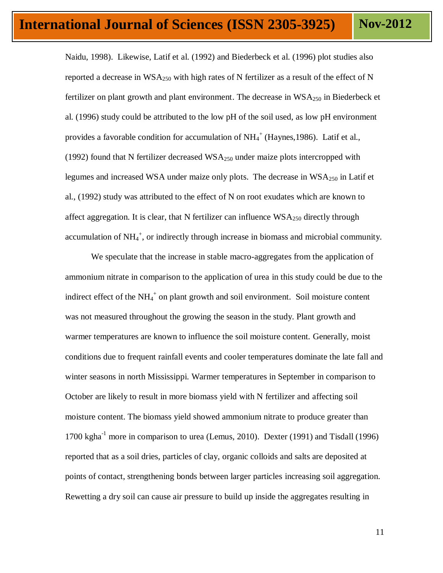Naidu, 1998). Likewise, Latif et al. (1992) and Biederbeck et al. (1996) plot studies also reported a decrease in  $WSA_{250}$  with high rates of N fertilizer as a result of the effect of N fertilizer on plant growth and plant environment. The decrease in  $WSA_{250}$  in Biederbeck et al. (1996) study could be attributed to the low pH of the soil used, as low pH environment provides a favorable condition for accumulation of  $NH_4^+$  (Haynes, 1986). Latif et al., (1992) found that N fertilizer decreased  $WSA_{250}$  under maize plots intercropped with legumes and increased WSA under maize only plots. The decrease in  $WSA_{250}$  in Latif et al., (1992) study was attributed to the effect of N on root exudates which are known to affect aggregation. It is clear, that N fertilizer can influence  $WSA_{250}$  directly through accumulation of  $NH_4^+$ , or indirectly through increase in biomass and microbial community.

We speculate that the increase in stable macro-aggregates from the application of ammonium nitrate in comparison to the application of urea in this study could be due to the indirect effect of the  $NH_4^+$  on plant growth and soil environment. Soil moisture content was not measured throughout the growing the season in the study. Plant growth and warmer temperatures are known to influence the soil moisture content. Generally, moist conditions due to frequent rainfall events and cooler temperatures dominate the late fall and winter seasons in north Mississippi. Warmer temperatures in September in comparison to October are likely to result in more biomass yield with N fertilizer and affecting soil moisture content. The biomass yield showed ammonium nitrate to produce greater than 1700 kgha $^{-1}$  more in comparison to urea (Lemus, 2010). Dexter (1991) and Tisdall (1996) reported that as a soil dries, particles of clay, organic colloids and salts are deposited at points of contact, strengthening bonds between larger particles increasing soil aggregation. Rewetting a dry soil can cause air pressure to build up inside the aggregates resulting in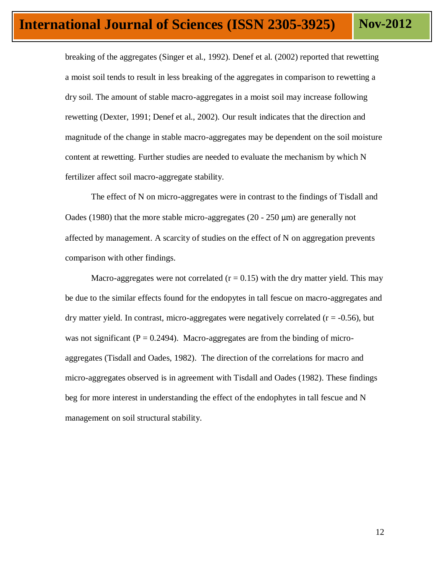breaking of the aggregates (Singer et al., 1992). Denef et al. (2002) reported that rewetting a moist soil tends to result in less breaking of the aggregates in comparison to rewetting a dry soil. The amount of stable macro-aggregates in a moist soil may increase following rewetting (Dexter, 1991; Denef et al., 2002). Our result indicates that the direction and magnitude of the change in stable macro-aggregates may be dependent on the soil moisture content at rewetting. Further studies are needed to evaluate the mechanism by which N fertilizer affect soil macro-aggregate stability.

The effect of N on micro-aggregates were in contrast to the findings of Tisdall and Oades (1980) that the more stable micro-aggregates (20 - 250  $\mu$ m) are generally not affected by management. A scarcity of studies on the effect of N on aggregation prevents comparison with other findings.

Macro-aggregates were not correlated  $(r = 0.15)$  with the dry matter yield. This may be due to the similar effects found for the endopytes in tall fescue on macro-aggregates and dry matter yield. In contrast, micro-aggregates were negatively correlated  $(r = -0.56)$ , but was not significant ( $P = 0.2494$ ). Macro-aggregates are from the binding of microaggregates (Tisdall and Oades, 1982). The direction of the correlations for macro and micro-aggregates observed is in agreement with Tisdall and Oades (1982). These findings beg for more interest in understanding the effect of the endophytes in tall fescue and N management on soil structural stability.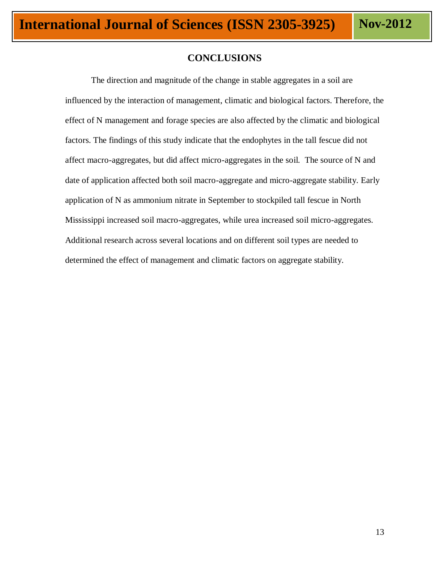# **CONCLUSIONS**

The direction and magnitude of the change in stable aggregates in a soil are influenced by the interaction of management, climatic and biological factors. Therefore, the effect of N management and forage species are also affected by the climatic and biological factors. The findings of this study indicate that the endophytes in the tall fescue did not affect macro-aggregates, but did affect micro-aggregates in the soil. The source of N and date of application affected both soil macro-aggregate and micro-aggregate stability. Early application of N as ammonium nitrate in September to stockpiled tall fescue in North Mississippi increased soil macro-aggregates, while urea increased soil micro-aggregates. Additional research across several locations and on different soil types are needed to determined the effect of management and climatic factors on aggregate stability.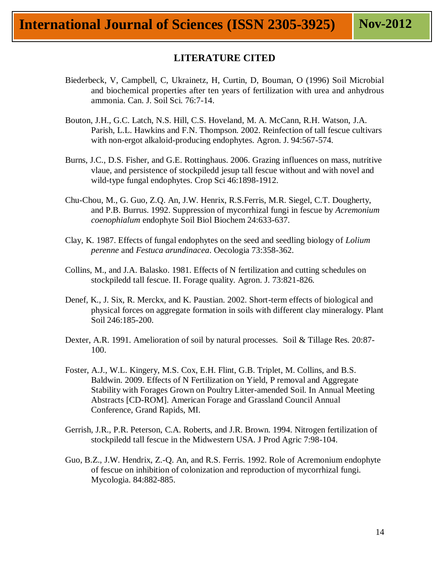# **LITERATURE CITED**

- Biederbeck, V, Campbell, C, Ukrainetz, H, Curtin, D, Bouman, O (1996) Soil Microbial and biochemical properties after ten years of fertilization with urea and anhydrous ammonia. Can. J. Soil Sci. 76:7-14.
- Bouton, J.H., G.C. Latch, N.S. Hill, C.S. Hoveland, M. A. McCann, R.H. Watson, J.A. Parish, L.L. Hawkins and F.N. Thompson. 2002. Reinfection of tall fescue cultivars with non-ergot alkaloid-producing endophytes. Agron. J. 94:567-574.
- Burns, J.C., D.S. Fisher, and G.E. Rottinghaus. 2006. Grazing influences on mass, nutritive vlaue, and persistence of stockpiledd jesup tall fescue without and with novel and wild-type fungal endophytes. Crop Sci 46:1898-1912.
- Chu-Chou, M., G. Guo, Z.Q. An, J.W. Henrix, R.S.Ferris, M.R. Siegel, C.T. Dougherty, and P.B. Burrus. 1992. Suppression of mycorrhizal fungi in fescue by *Acremonium coenophialum* endophyte Soil Biol Biochem 24:633-637.
- Clay, K. 1987. Effects of fungal endophytes on the seed and seedling biology of *Lolium perenne* and *Festuca arundinacea*. Oecologia 73:358-362.
- Collins, M., and J.A. Balasko. 1981. Effects of N fertilization and cutting schedules on stockpiledd tall fescue. II. Forage quality. Agron. J. 73:821-826.
- Denef, K., J. Six, R. Merckx, and K. Paustian. 2002. Short-term effects of biological and physical forces on aggregate formation in soils with different clay mineralogy. Plant Soil 246:185-200.
- Dexter, A.R. 1991. Amelioration of soil by natural processes. Soil & Tillage Res. 20:87- 100.
- Foster, A.J., W.L. Kingery, M.S. Cox, E.H. Flint, G.B. Triplet, M. Collins, and B.S. Baldwin. 2009. Effects of N Fertilization on Yield, P removal and Aggregate Stability with Forages Grown on Poultry Litter-amended Soil. In Annual Meeting Abstracts [CD-ROM]. American Forage and Grassland Council Annual Conference, Grand Rapids, MI.
- Gerrish, J.R., P.R. Peterson, C.A. Roberts, and J.R. Brown. 1994. Nitrogen fertilization of stockpiledd tall fescue in the Midwestern USA. J Prod Agric 7:98-104.
- Guo, B.Z., J.W. Hendrix, Z.-Q. An, and R.S. Ferris. 1992. Role of Acremonium endophyte of fescue on inhibition of colonization and reproduction of mycorrhizal fungi. Mycologia. 84:882-885.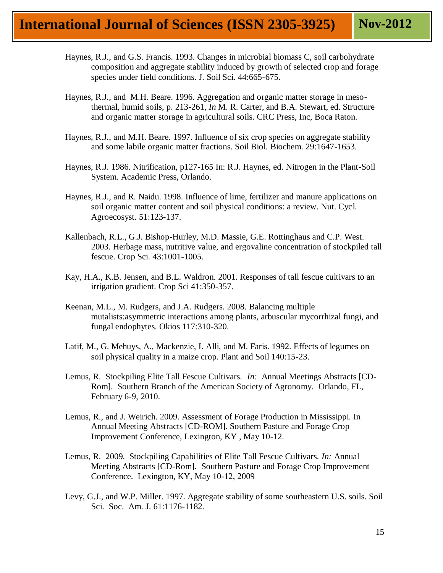- Haynes, R.J., and G.S. Francis. 1993. Changes in microbial biomass C, soil carbohydrate composition and aggregate stability induced by growth of selected crop and forage species under field conditions. J. Soil Sci. 44:665-675.
- Haynes, R.J., and M.H. Beare. 1996. Aggregation and organic matter storage in mesothermal, humid soils, p. 213-261, *In* M. R. Carter, and B.A. Stewart, ed. Structure and organic matter storage in agricultural soils. CRC Press, Inc, Boca Raton.
- Haynes, R.J., and M.H. Beare. 1997. Influence of six crop species on aggregate stability and some labile organic matter fractions. Soil Biol. Biochem. 29:1647-1653.
- Haynes, R.J. 1986. Nitrification, p127-165 In: R.J. Haynes, ed. Nitrogen in the Plant-Soil System. Academic Press, Orlando.
- Haynes, R.J., and R. Naidu. 1998. Influence of lime, fertilizer and manure applications on soil organic matter content and soil physical conditions: a review. Nut. Cycl. Agroecosyst. 51:123-137.
- Kallenbach, R.L., G.J. Bishop-Hurley, M.D. Massie, G.E. Rottinghaus and C.P. West. 2003. Herbage mass, nutritive value, and ergovaline concentration of stockpiled tall fescue. Crop Sci. 43:1001-1005.
- Kay, H.A., K.B. Jensen, and B.L. Waldron. 2001. Responses of tall fescue cultivars to an irrigation gradient. Crop Sci 41:350-357.
- Keenan, M.L., M. Rudgers, and J.A. Rudgers. 2008. Balancing multiple mutalists:asymmetric interactions among plants, arbuscular mycorrhizal fungi, and fungal endophytes. Okios 117:310-320.
- Latif, M., G. Mehuys, A., Mackenzie, I. Alli, and M. Faris. 1992. Effects of legumes on soil physical quality in a maize crop. Plant and Soil 140:15-23.
- Lemus, R. Stockpiling Elite Tall Fescue Cultivars. *In:* Annual Meetings Abstracts [CD-Rom]. Southern Branch of the American Society of Agronomy. Orlando, FL, February 6-9, 2010.
- Lemus, R., and J. Weirich. 2009. Assessment of Forage Production in Mississippi. In Annual Meeting Abstracts [CD-ROM]. Southern Pasture and Forage Crop Improvement Conference, Lexington, KY , May 10-12.
- Lemus, R. 2009. Stockpiling Capabilities of Elite Tall Fescue Cultivars. *In:* Annual Meeting Abstracts [CD-Rom]. Southern Pasture and Forage Crop Improvement Conference. Lexington, KY, May 10-12, 2009
- Levy, G.J., and W.P. Miller. 1997. Aggregate stability of some southeastern U.S. soils. Soil Sci. Soc. Am. J. 61:1176-1182.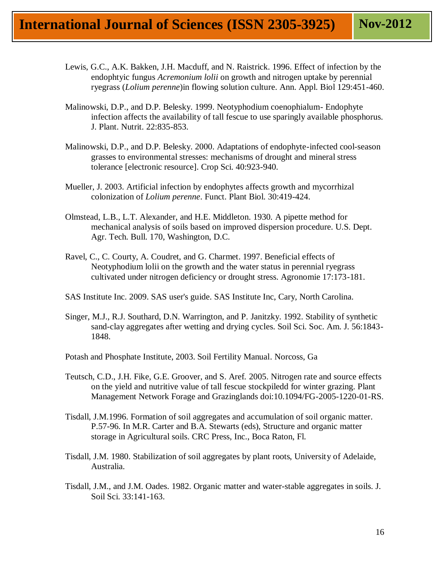- Lewis, G.C., A.K. Bakken, J.H. Macduff, and N. Raistrick. 1996. Effect of infection by the endophtyic fungus *Acremonium lolii* on growth and nitrogen uptake by perennial ryegrass (*Lolium perenne*)in flowing solution culture. Ann. Appl. Biol 129:451-460.
- Malinowski, D.P., and D.P. Belesky. 1999. Neotyphodium coenophialum- Endophyte infection affects the availability of tall fescue to use sparingly available phosphorus. J. Plant. Nutrit. 22:835-853.
- Malinowski, D.P., and D.P. Belesky. 2000. Adaptations of endophyte-infected cool-season grasses to environmental stresses: mechanisms of drought and mineral stress tolerance [electronic resource]. Crop Sci. 40:923-940.
- Mueller, J. 2003. Artificial infection by endophytes affects growth and mycorrhizal colonization of *Lolium perenne*. Funct. Plant Biol. 30:419-424.
- Olmstead, L.B., L.T. Alexander, and H.E. Middleton. 1930. A pipette method for mechanical analysis of soils based on improved dispersion procedure. U.S. Dept. Agr. Tech. Bull. 170, Washington, D.C.
- Ravel, C., C. Courty, A. Coudret, and G. Charmet. 1997. Beneficial effects of Neotyphodium lolii on the growth and the water status in perennial ryegrass cultivated under nitrogen deficiency or drought stress. Agronomie 17:173-181.
- SAS Institute Inc. 2009. SAS user's guide. SAS Institute Inc, Cary, North Carolina.
- Singer, M.J., R.J. Southard, D.N. Warrington, and P. Janitzky. 1992. Stability of synthetic sand-clay aggregates after wetting and drying cycles. Soil Sci. Soc. Am. J. 56:1843- 1848.
- Potash and Phosphate Institute, 2003. Soil Fertility Manual. Norcoss, Ga
- Teutsch, C.D., J.H. Fike, G.E. Groover, and S. Aref. 2005. Nitrogen rate and source effects on the yield and nutritive value of tall fescue stockpiledd for winter grazing. Plant Management Network Forage and Grazinglands doi:10.1094/FG-2005-1220-01-RS.
- Tisdall, J.M.1996. Formation of soil aggregates and accumulation of soil organic matter. P.57-96. In M.R. Carter and B.A. Stewarts (eds), Structure and organic matter storage in Agricultural soils. CRC Press, Inc., Boca Raton, Fl.
- Tisdall, J.M. 1980. Stabilization of soil aggregates by plant roots, University of Adelaide, Australia.
- Tisdall, J.M., and J.M. Oades. 1982. Organic matter and water-stable aggregates in soils. J. Soil Sci. 33:141-163.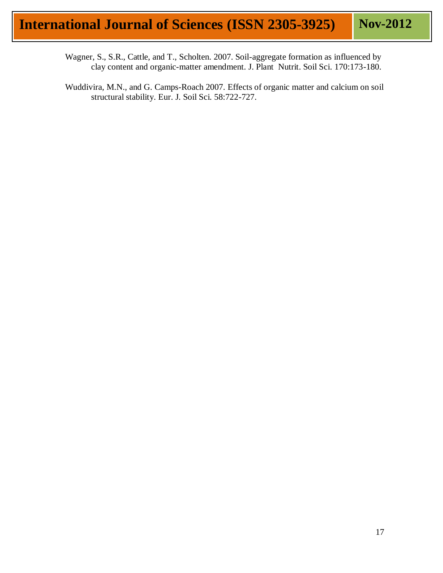- Wagner, S., S.R., Cattle, and T., Scholten. 2007. Soil-aggregate formation as influenced by clay content and organic-matter amendment. J. Plant Nutrit. Soil Sci. 170:173-180.
- Wuddivira, M.N., and G. Camps-Roach 2007. Effects of organic matter and calcium on soil structural stability. Eur. J. Soil Sci. 58:722-727.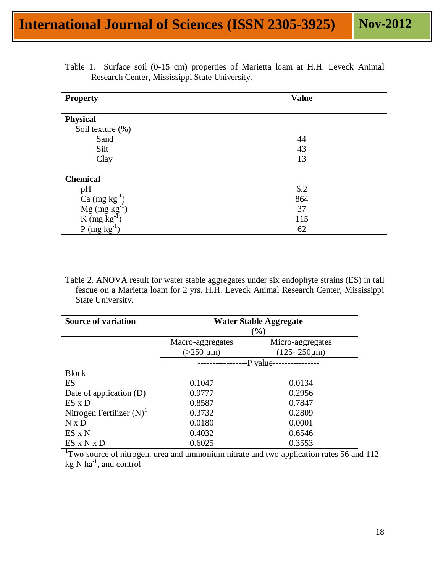| <b>Property</b>                                      | <b>Value</b> |  |  |  |  |
|------------------------------------------------------|--------------|--|--|--|--|
| <b>Physical</b>                                      |              |  |  |  |  |
| Soil texture (%)                                     |              |  |  |  |  |
| Sand                                                 | 44           |  |  |  |  |
| Silt                                                 | 43           |  |  |  |  |
| Clay                                                 | 13           |  |  |  |  |
| <b>Chemical</b>                                      |              |  |  |  |  |
| pH                                                   | 6.2          |  |  |  |  |
| Ca $(mg kg^{-1})$<br>Mg $(mg kg^{-1})$               | 864          |  |  |  |  |
|                                                      | 37           |  |  |  |  |
| K (mg kg <sup>-1</sup> )<br>P (mg kg <sup>-1</sup> ) | 115          |  |  |  |  |
|                                                      | 62           |  |  |  |  |

|                                                |  |  |  |  |  | Table 1. Surface soil (0-15 cm) properties of Marietta loam at H.H. Leveck Animal |  |  |  |  |  |  |  |
|------------------------------------------------|--|--|--|--|--|-----------------------------------------------------------------------------------|--|--|--|--|--|--|--|
| Research Center, Mississippi State University. |  |  |  |  |  |                                                                                   |  |  |  |  |  |  |  |

Table 2. ANOVA result for water stable aggregates under six endophyte strains (ES) in tall fescue on a Marietta loam for 2 yrs. H.H. Leveck Animal Research Center, Mississippi State University.

| <b>Source of variation</b>    | Water Stable Aggregate<br>(%) |                     |  |  |  |  |
|-------------------------------|-------------------------------|---------------------|--|--|--|--|
|                               | Macro-aggregates              | Micro-aggregates    |  |  |  |  |
|                               | $(>250 \mu m)$                | $(125 - 250 \mu m)$ |  |  |  |  |
|                               | -P value----------------      |                     |  |  |  |  |
| <b>Block</b>                  |                               |                     |  |  |  |  |
| <b>ES</b>                     | 0.1047                        | 0.0134              |  |  |  |  |
| Date of application (D)       | 0.9777                        | 0.2956              |  |  |  |  |
| $ES \times D$                 | 0.8587                        | 0.7847              |  |  |  |  |
| Nitrogen Fertilizer $(N)^{1}$ | 0.3732                        | 0.2809              |  |  |  |  |
| $N \times D$                  | 0.0180                        | 0.0001              |  |  |  |  |
| $ES \times N$                 | 0.4032                        | 0.6546              |  |  |  |  |
| ES X N X D                    | 0.6025                        | 0.3553              |  |  |  |  |

<sup>1</sup>Two source of nitrogen, urea and ammonium nitrate and two application rates 56 and 112  $kg \text{ N}$  ha<sup>-1</sup>, and control